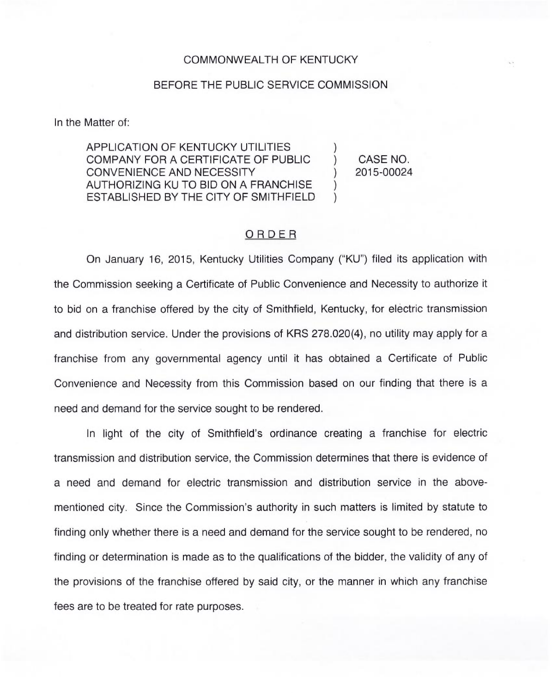## BEFORE THE PUBLIC SERVICE COMMISSION

In the Matter of:

APPLICATION OF KENTUCKY UTILITIES COMPANY FOR A CERTIFICATE OF PUBLIC CONVENIENCE AND NECESSITY AUTHORIZING KU TO BID ON A FRANCHISE ESTABLISHED BY THE CITY OF SMITHFIELD

) CASE NO. ) 2015-00024

)

) )

## ORDER

On January 16, 2015, Kentucky Utilities Company ("KU") filed its application with the Commission seeking a Certificate of Public Convenience and Necessity to authorize it to bid on a franchise offered by the city of Smithfield, Kentucky, for electric transmission and distribution service. Under the provisions of KRS 278.020(4), no utility may apply for a franchise from any governmental agency until it has obtained a Certificate of Public Convenience and Necessity from this Commission based on our finding that there is a need and demand for the service sought to be rendered.

In light of the city of Smithfield's ordinance creating a franchise for electric transmission and distribution service, the Commission determines that there is evidence of a need and demand for electric transmission and distribution service in the abovementioned city. Since the Commission's authority in such matters is limited by statute to finding only whether there is a need and demand for the service sought to be rendered, no finding or determination is made as to the qualifications of the bidder, the validity of any of the provisions of the franchise offered by said city, or the manner in which any franchise fees are to be treated for rate purposes.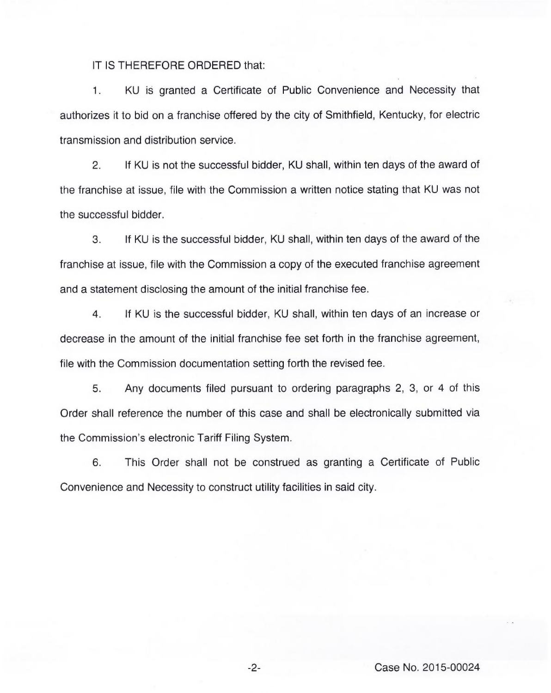## IT IS THEREFORE ORDERED that:

KU is granted a Certificate of Public Convenience and Necessity that  $1$ authorizes it to bid on a franchise offered by the city of Smithfield, Kentucky, for electric transmission and distribution service.

2. If KU is not the successful bidder, KU shall, within ten days of the award of the franchise at issue, file with the Commission a written notice stating that KU was not the successful bidder.

3. If KU is the successful bidder, KU shall, within ten days of the award of the franchise at issue, file with the Commission a copy of the executed franchise agreement and a statement disclosing the amount of the initial franchise fee.

4. If KU is the successful bidder, KU shall, within ten days of an increase or decrease in the amount of the initial franchise fee set forth in the franchise agreement, file with the Commission documentation setting forth the revised fee.

5. Any documents filed pursuant to ordering paragraphs 2, 3, or 4 of this Order shall reference the number of this case and shall be electronically submitted via the Commission's electronic Tariff Filing System.

6. This Order shall not be construed as granting a Certificate of Public Convenience and Necessity to construct utility facilities in said city.

Case No. 2015-00024

 $-2-$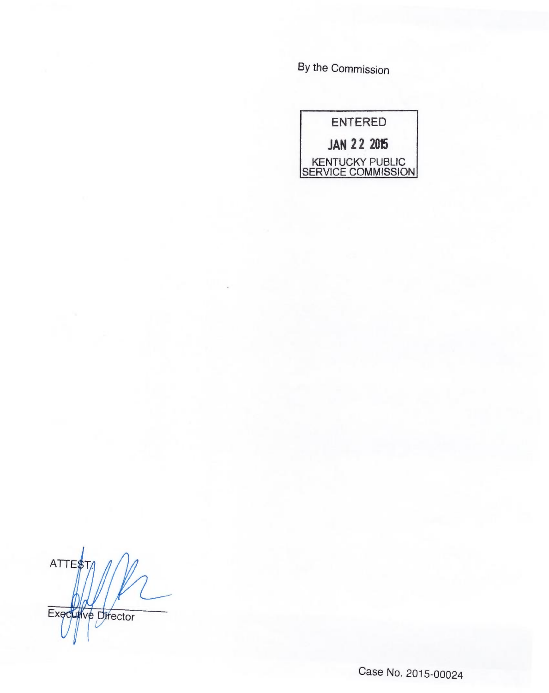By the Commission



ATTE\$ Executive Director

Case No. 2015-00024